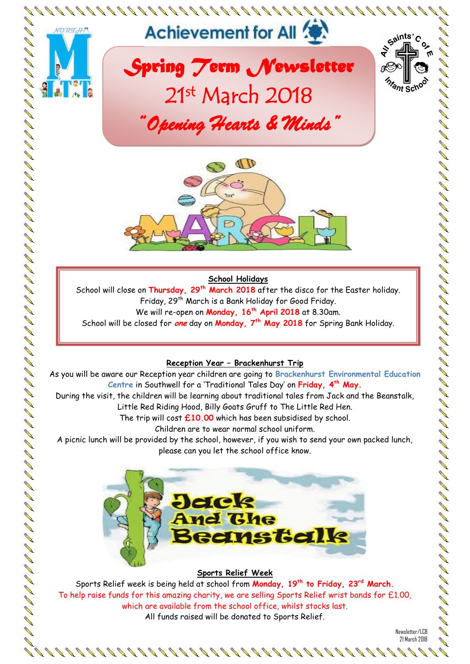



#### **School Holidays**

School will close on **Thursday, 29th March 2018** after the disco for the Easter holiday. Friday, 29th March is a Bank Holiday for Good Friday. We will re-open on **Monday, 16th April 2018** at 8.30am. School will be closed for **one** day on **Monday, 7th May 2018** for Spring Bank Holiday.

#### **Reception Year – Brackenhurst Trip**

As you will be aware our Reception year children are going to **Brackenhurst Environmental Education Centre** in Southwell for a 'Traditional Tales Day' on **Friday, 4th May.**

During the visit, the children will be learning about traditional tales from Jack and the Beanstalk, Little Red Riding Hood, Billy Goats Gruff to The Little Red Hen.

The trip will cost **£10.00** which has been subsidised by school.

Children are to wear normal school uniform.

A picnic lunch will be provided by the school, however, if you wish to send your own packed lunch, please can you let the school office know.



#### **Sports Relief Week**

Sports Relief week is being held at school from **Monday, 19th to Friday, 23rd March.** To help raise funds for this amazing charity, we are selling Sports Relief wrist bands for £1.00, which are available from the school office, whilst stocks last. All funds raised will be donated to Sports Relief.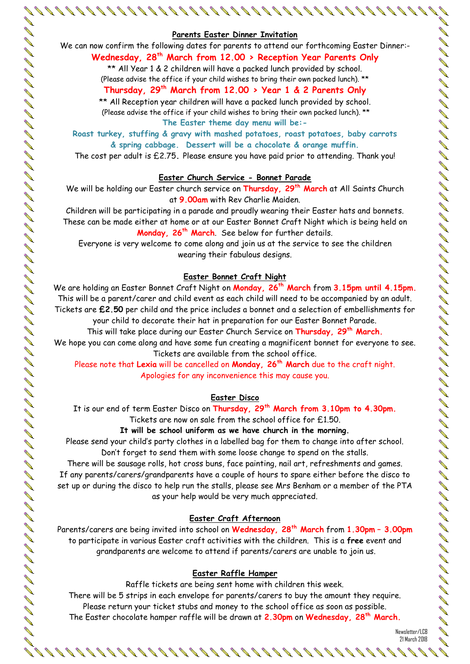#### **Parents Easter Dinner Invitation**

#### We can now confirm the following dates for parents to attend our forthcoming Easter Dinner:- **Wednesday, 28th March from 12.00 > Reception Year Parents Only**

\*\* All Year 1 & 2 children will have a packed lunch provided by school. (Please advise the office if your child wishes to bring their own packed lunch). \*\*

#### **Thursday, 29th March from 12.00 > Year 1 & 2 Parents Only**

\*\* All Reception year children will have a packed lunch provided by school. (Please advise the office if your child wishes to bring their own packed lunch). \*\*

**The Easter theme day menu will be:-**

**Roast turkey, stuffing & gravy with mashed potatoes, roast potatoes, baby carrots & spring cabbage. Dessert will be a chocolate & orange muffin.**

The cost per adult is £2.75**.** Please ensure you have paid prior to attending. Thank you!

#### **Easter Church Service - Bonnet Parade**

We will be holding our Easter church service on **Thursday, 29th March** at All Saints Church at **9.00am** with Rev Charlie Maiden.

Children will be participating in a parade and proudly wearing their Easter hats and bonnets. These can be made either at home or at our Easter Bonnet Craft Night which is being held on **Monday, 26th March**. See below for further details.

Everyone is very welcome to come along and join us at the service to see the children wearing their fabulous designs.

#### **Easter Bonnet Craft Night**

We are holding an Easter Bonnet Craft Night on **Monday, 26th March** from **3.15pm until 4.15pm.** This will be a parent/carer and child event as each child will need to be accompanied by an adult. Tickets are **£2.50** per child and the price includes a bonnet and a selection of embellishments for your child to decorate their hat in preparation for our Easter Bonnet Parade.

This will take place during our Easter Church Service on **Thursday, 29th March.**

We hope you can come along and have some fun creating a magnificent bonnet for everyone to see. Tickets are available from the school office.

Please note that **Lexia** will be cancelled on **Monday, 26th March** due to the craft night. Apologies for any inconvenience this may cause you.

#### **Easter Disco**

It is our end of term Easter Disco on **Thursday, 29th March from 3.10pm to 4.30pm.** Tickets are now on sale from the school office for £1.50.

#### **It will be school uniform as we have church in the morning.**

Please send your child's party clothes in a labelled bag for them to change into after school. Don't forget to send them with some loose change to spend on the stalls.

There will be sausage rolls, hot cross buns, face painting, nail art, refreshments and games. If any parents/carers/grandparents have a couple of hours to spare either before the disco to set up or during the disco to help run the stalls, please see Mrs Benham or a member of the PTA as your help would be very much appreciated.

#### **Easter Craft Afternoon**

Parents/carers are being invited into school on **Wednesday, 28th March** from **1.30pm – 3.00pm** to participate in various Easter craft activities with the children. This is a **free** event and grandparents are welcome to attend if parents/carers are unable to join us.

#### **Easter Raffle Hamper**

Raffle tickets are being sent home with children this week. There will be 5 strips in each envelope for parents/carers to buy the amount they require. Please return your ticket stubs and money to the school office as soon as possible. The Easter chocolate hamper raffle will be drawn at **2.30pm** on **Wednesday, 28th March.**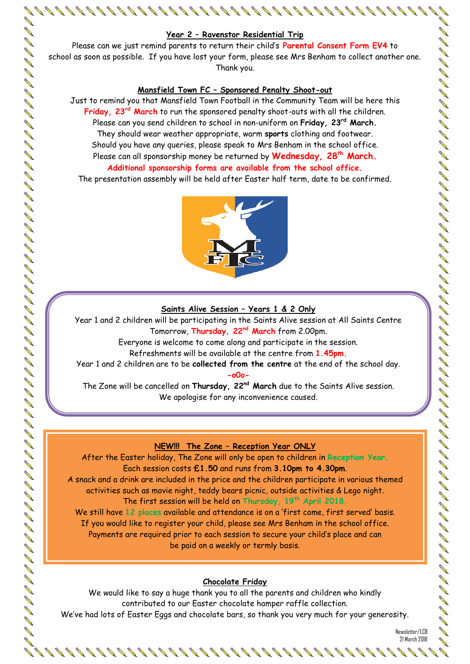#### **Year 2 – Ravenstor Residential Trip**

Please can we just remind parents to return their child's **Parental Consent Form EV4** to school as soon as possible. If you have lost your form, please see Mrs Benham to collect another one. Thank you.

#### **Mansfield Town FC – Sponsored Penalty Shoot-out**

Just to remind you that Mansfield Town Football in the Community Team will be here this **Friday, 23rd March** to run the sponsored penalty shoot-outs with all the children. Please can you send children to school in non-uniform on **Friday, 23 rd March.** They should wear weather appropriate, warm **sports** clothing and footwear. Should you have any queries, please speak to Mrs Benham in the school office. Please can all sponsorship money be returned by **Wednesday, 28th March. Additional sponsorship forms are available from the school office.**

The presentation assembly will be held after Easter half term, date to be confirmed.



#### **Saints Alive Session – Years 1 & 2 Only**

Year 1 and 2 children will be participating in the Saints Alive session at All Saints Centre Tomorrow, **Thursday, 22nd March** from 2.00pm.

Everyone is welcome to come along and participate in the session.

Refreshments will be available at the centre from **1.45pm.**

Year 1 and 2 children are to be **collected from the centre** at the end of the school day.

**-o0o-**

The Zone will be cancelled on **Thursday, 22nd March** due to the Saints Alive session. We apologise for any inconvenience caused.

#### **NEW!!! The Zone – Reception Year ONLY**

After the Easter holiday, The Zone will only be open to children in **Reception Year.** Each session costs **£1.50** and runs from **3.10pm to 4.30pm**. A snack and a drink are included in the price and the children participate in various themed activities such as movie night, teddy bears picnic, outside activities & Lego night. The first session will be held on **Thursday, 19th April 2018.** We still have **12 places** available and attendance is on a 'first come, first served' basis. If you would like to register your child, please see Mrs Benham in the school office. Payments are required prior to each session to secure your child's place and can be paid on a weekly or termly basis.

#### **Chocolate Friday**

We would like to say a huge thank you to all the parents and children who kindly contributed to our Easter chocolate hamper raffle collection. We've had lots of Easter Eggs and chocolate bars, so thank you very much for your generosity.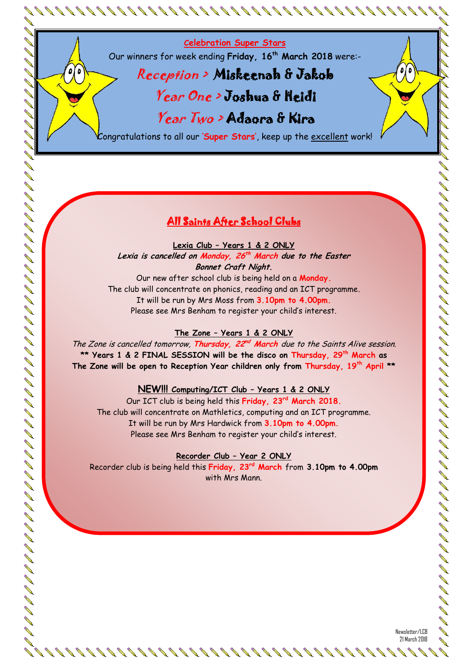**Celebration Super Stars**

Our winners for week ending **Friday, 16th March 2018** were:-

## Reception > Miskeenah & Jakob Year One > Joshua & Heidi

# Year Two > Adaora & Kira

Congratulations to all our '**Super Stars**', keep up the excellent work!

### All Saints After School Clubs

**Lexia Club – Years 1 & 2 ONLY**

**Lexia is cancelled on Monday, 26 th March due to the Easter Bonnet Craft Night.**

Our new after school club is being held on a **Monday.** The club will concentrate on phonics, reading and an ICT programme. It will be run by Mrs Moss from **3.10pm to 4.00pm.** Please see Mrs Benham to register your child's interest.

#### **The Zone – Years 1 & 2 ONLY**

イーリー イーリー リーリー イーコー カーカー カード イーフィー イーフィー レージ レートレー レートレー レーコー レーコー コーヒー クリーエー クリール

0

The Zone is cancelled tomorrow, Thursday, 22<sup>nd</sup> March due to the Saints Alive session. **\*\* Years 1 & 2 FINAL SESSION will be the disco on Thursday, 29th March as The Zone will be open to Reception Year children only from Thursday, 19th April \*\***

#### **NEW!!! Computing/ICT Club – Years 1 & 2 ONLY**

Our ICT club is being held this **Friday, 23rd March 2018.** The club will concentrate on Mathletics, computing and an ICT programme. It will be run by Mrs Hardwick from **3.10pm to 4.00pm.** Please see Mrs Benham to register your child's interest.

#### **Recorder Club – Year 2 ONLY**

Recorder club is being held this **Friday, 23rd March** from **3.10pm to 4.00pm** with Mrs Mann.

0  $\mathbf{0}$